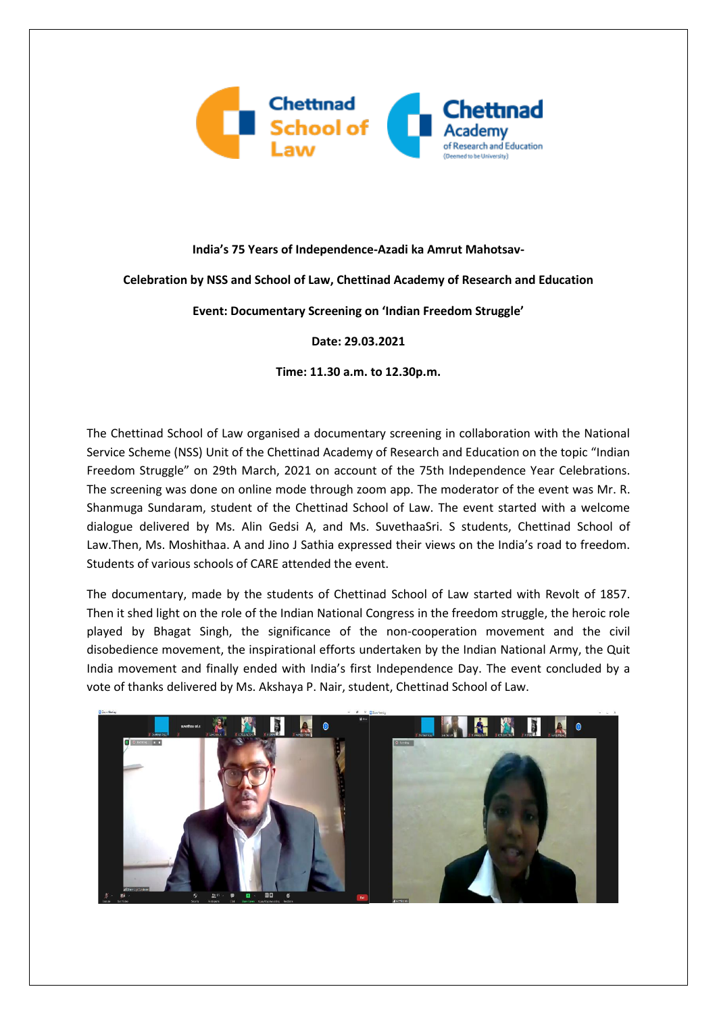

## **India's 75 Years of Independence-Azadi ka Amrut Mahotsav-**

## **Celebration by NSS and School of Law, Chettinad Academy of Research and Education**

**Event: Documentary Screening on 'Indian Freedom Struggle'**

**Date: 29.03.2021**

**Time: 11.30 a.m. to 12.30p.m.**

The Chettinad School of Law organised a documentary screening in collaboration with the National Service Scheme (NSS) Unit of the Chettinad Academy of Research and Education on the topic "Indian Freedom Struggle" on 29th March, 2021 on account of the 75th Independence Year Celebrations. The screening was done on online mode through zoom app. The moderator of the event was Mr. R. Shanmuga Sundaram, student of the Chettinad School of Law. The event started with a welcome dialogue delivered by Ms. Alin Gedsi A, and Ms. SuvethaaSri. S students, Chettinad School of Law.Then, Ms. Moshithaa. A and Jino J Sathia expressed their views on the India's road to freedom. Students of various schools of CARE attended the event.

The documentary, made by the students of Chettinad School of Law started with Revolt of 1857. Then it shed light on the role of the Indian National Congress in the freedom struggle, the heroic role played by Bhagat Singh, the significance of the non-cooperation movement and the civil disobedience movement, the inspirational efforts undertaken by the Indian National Army, the Quit India movement and finally ended with India's first Independence Day. The event concluded by a vote of thanks delivered by Ms. Akshaya P. Nair, student, Chettinad School of Law.

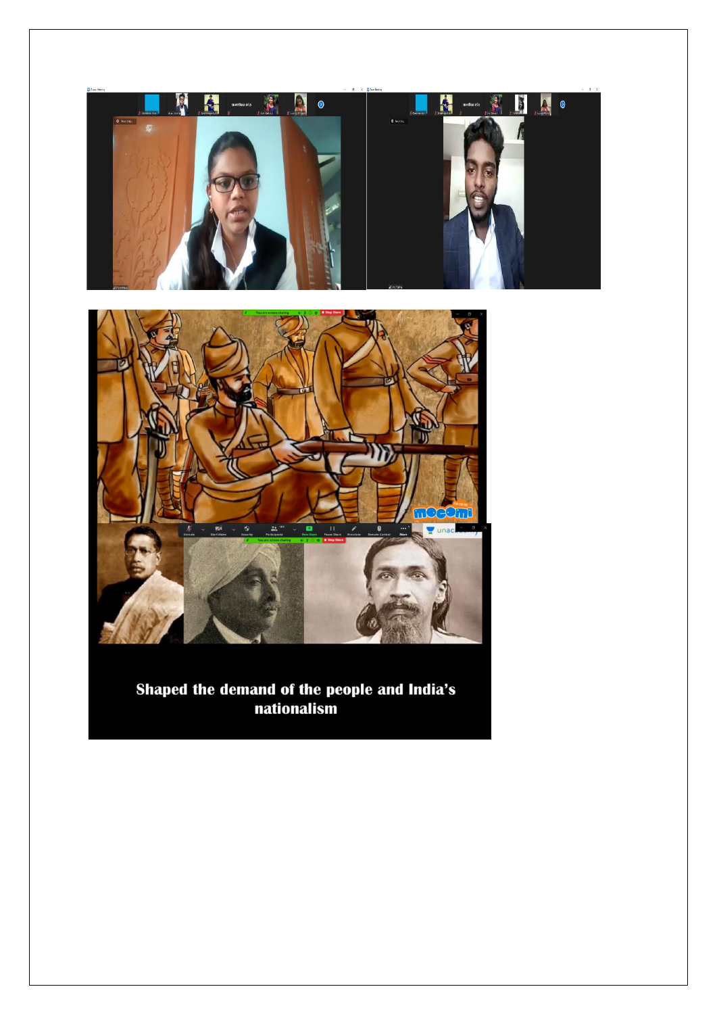

Shaped the demand of the people and India's nationalism